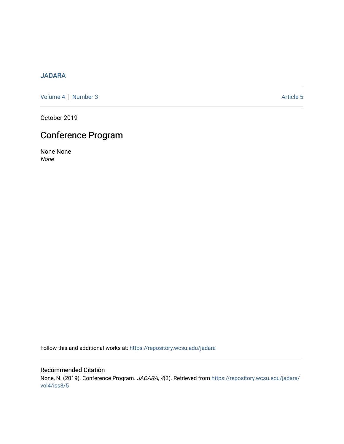# [JADARA](https://repository.wcsu.edu/jadara)

[Volume 4](https://repository.wcsu.edu/jadara/vol4) | [Number 3](https://repository.wcsu.edu/jadara/vol4/iss3) Article 5

October 2019

# Conference Program

None None None

Follow this and additional works at: [https://repository.wcsu.edu/jadara](https://repository.wcsu.edu/jadara?utm_source=repository.wcsu.edu%2Fjadara%2Fvol4%2Fiss3%2F5&utm_medium=PDF&utm_campaign=PDFCoverPages)

# Recommended Citation None, N. (2019). Conference Program. JADARA, 4(3). Retrieved from [https://repository.wcsu.edu/jadara/](https://repository.wcsu.edu/jadara/vol4/iss3/5?utm_source=repository.wcsu.edu%2Fjadara%2Fvol4%2Fiss3%2F5&utm_medium=PDF&utm_campaign=PDFCoverPages) [vol4/iss3/5](https://repository.wcsu.edu/jadara/vol4/iss3/5?utm_source=repository.wcsu.edu%2Fjadara%2Fvol4%2Fiss3%2F5&utm_medium=PDF&utm_campaign=PDFCoverPages)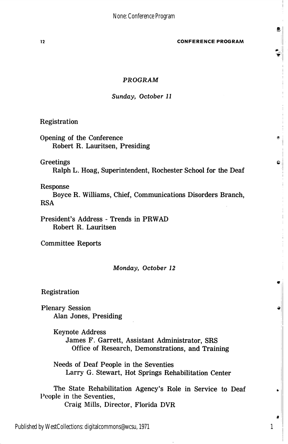12 CONFERENCE PROGRAM

Ø.

 $\bullet$ 

 $\mathbf{C}$ 

### PROGRAM

#### Sunday, October 11

Registration

Opening of the Conference Robert R. Lauritsen, Presiding

# **Greetings**

Ralph L. Hoag, Superintendent, Rochester School for the Deaf

## Response

Boyce R. Williams, Chief, Communications Disorders Branch, RSA

President's Address - Trends in PRWAD Robert R. Lauritsen

Committee Reports

#### Monday, October 12

Registration

Plenary Session Alan Jones, Presiding

> Keynote Address James F. Garrett, Assistant Administrator, SRS Office of Research, Demonstrations, and Training

Needs of Deaf People in the Seventies Larry G. Stewart, Hot Springs Rehabilitation Center

The State Rehabilitation Agency's Role in Service to Deaf People in the Seventies, Craig Mills, Director, Florida DVR

1

Published by WestCollections: digitalcommons@wcsu, 1971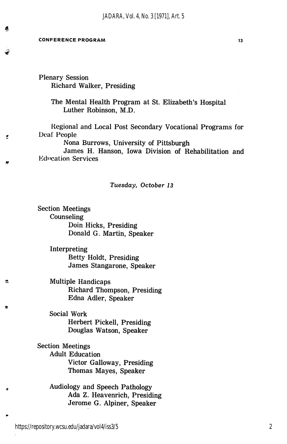#### CONFERENCE PROGRAM 2009 13

■if

Ğ,

쓰

Ŀ.

Plenary Session Richard Walker, Presiding

> The Mental Health Program at St. Elizabeth's Hospital Luther Robinson, M.D.

Regional and Local Post Secondary Vocational Programs for Deaf People

Nona Burrows, University of Pittsburgh

James H. Hanson, Iowa Division of Rehabilitation and **Education Services** 

#### Tuesday, October 13

Section Meetings Counseling Doin Hicks, Presiding Donald G. Martin, Speaker

> Interpreting Betty Holdt, Presiding James Stangarone, Speaker

Multiple Handicaps Richard Thompson, Presiding Edna Adler, Speaker

Social Work Herbert Pickell, Presiding Douglas Watson, Speaker

Section Meetings Adult Education Victor Galloway, Presiding Thomas Mayes, Speaker

> Audiology and Speech Pathology Ada Z. Heavenrich, Presiding Jerome G. Alpiner, Speaker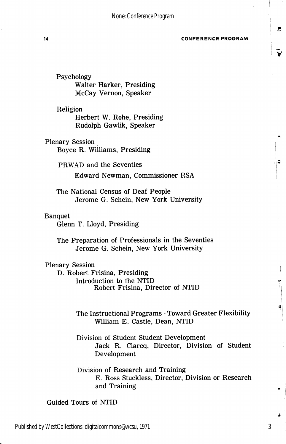14 CONFERENCE PROGRAM

B

¢

 $\bullet$  . The set of  $\bullet$ 

Psychology Walter Harker, Presiding McCay Vernon, Speaker

Religion Herbert W. Rohe, Presiding Rudolph Gawlik, Speaker

Plenary Session Boyce R. Williams, Presiding

> PRWAD and the Seventies Edward Newman, Commissioner RSA

The National Census of Deaf People Jerome G. Schein, New York University

## Banquet

Glenn T. Lloyd, Presiding

The Preparation of Professionals in the Seventies Jerome G. Schein, New York University

# Plenary Session

D. Robert Frisina, Presiding Introduction to the NTID Robert Frisina, Director of NTID

> The Instructional Programs - Toward Greater Flexibility William E. Castle, Dean, NTID

> Division of Student Student Development Jack R. Clarcq, Director, Division of Student Development

> Division of Research and Training E. Ross Stuckless, Director, Division or Research and Training

Guided Tours of NTID

3